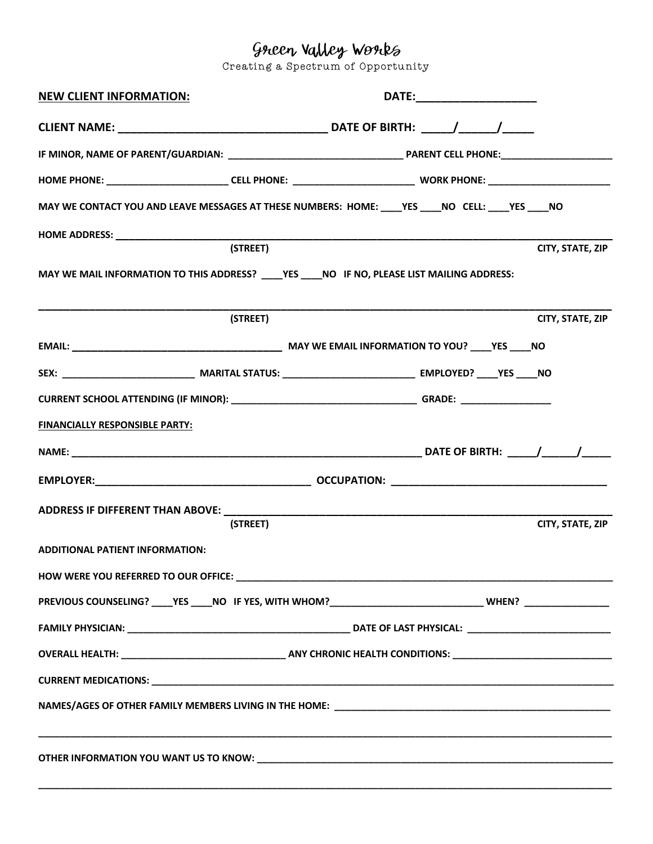Creating a Spectrum of Opportunity

| <b>NEW CLIENT INFORMATION:</b>                                                                                          |          | DATE:________________________ |                  |  |
|-------------------------------------------------------------------------------------------------------------------------|----------|-------------------------------|------------------|--|
|                                                                                                                         |          |                               |                  |  |
|                                                                                                                         |          |                               |                  |  |
| HOME PHONE: ____________________________CELL PHONE: _____________________________ WORK PHONE: ______________________    |          |                               |                  |  |
| MAY WE CONTACT YOU AND LEAVE MESSAGES AT THESE NUMBERS: HOME: YES NO CELL: YES NO                                       |          |                               |                  |  |
| <b>HOME ADDRESS:</b> NOW THE RESERVE THE RESERVE THE RESERVE THE RESERVE THE RESERVE THE RESERVE THE RESERVE THAN A STR |          |                               |                  |  |
|                                                                                                                         | (STREET) |                               | CITY, STATE, ZIP |  |
| MAY WE MAIL INFORMATION TO THIS ADDRESS? _____YES _____NO IF NO, PLEASE LIST MAILING ADDRESS:                           |          |                               |                  |  |
|                                                                                                                         | (STREET) |                               | CITY, STATE, ZIP |  |
|                                                                                                                         |          |                               |                  |  |
|                                                                                                                         |          |                               |                  |  |
|                                                                                                                         |          |                               |                  |  |
| <b>FINANCIALLY RESPONSIBLE PARTY:</b>                                                                                   |          |                               |                  |  |
|                                                                                                                         |          |                               |                  |  |
|                                                                                                                         |          |                               |                  |  |
|                                                                                                                         |          |                               |                  |  |
|                                                                                                                         | (STREET) |                               | CITY, STATE, ZIP |  |
| <b>ADDITIONAL PATIENT INFORMATION:</b>                                                                                  |          |                               |                  |  |
|                                                                                                                         |          |                               |                  |  |
| PREVIOUS COUNSELING? ____YES ____NO IF YES, WITH WHOM? _________________________________WHEN? ________________          |          |                               |                  |  |
|                                                                                                                         |          |                               |                  |  |
|                                                                                                                         |          |                               |                  |  |
|                                                                                                                         |          |                               |                  |  |
|                                                                                                                         |          |                               |                  |  |
|                                                                                                                         |          |                               |                  |  |

**\_\_\_\_\_\_\_\_\_\_\_\_\_\_\_\_\_\_\_\_\_\_\_\_\_\_\_\_\_\_\_\_\_\_\_\_\_\_\_\_\_\_\_\_\_\_\_\_\_\_\_\_\_\_\_\_\_\_\_\_\_\_\_\_\_\_\_\_\_\_\_\_\_\_\_\_\_\_\_\_\_\_\_\_\_\_\_\_\_\_\_\_\_\_\_\_\_\_\_\_\_\_\_\_\_\_\_\_**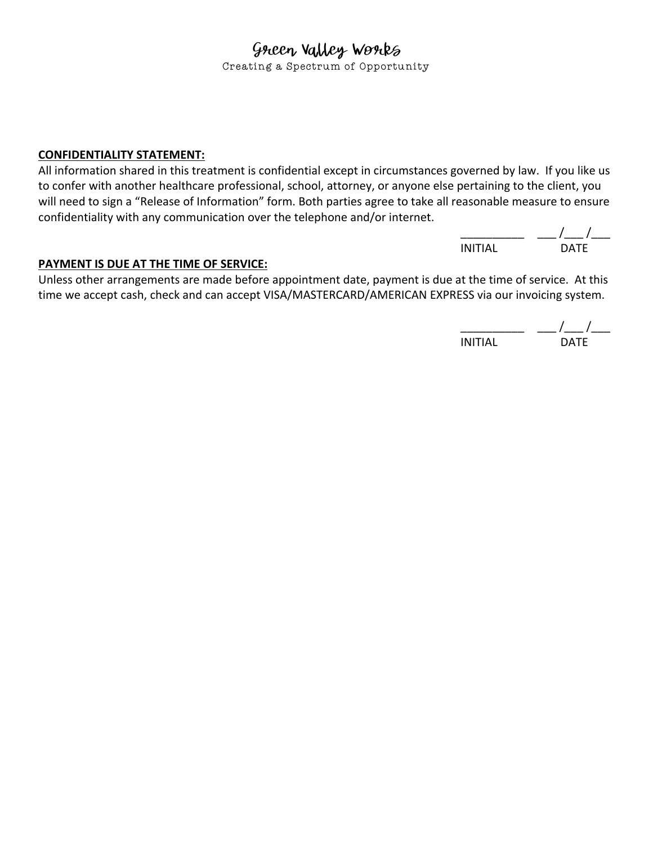Creating a Spectrum of Opportunity

### **CONFIDENTIALITY STATEMENT:**

All information shared in this treatment is confidential except in circumstances governed by law. If you like us to confer with another healthcare professional, school, attorney, or anyone else pertaining to the client, you will need to sign a "Release of Information" form. Both parties agree to take all reasonable measure to ensure confidentiality with any communication over the telephone and/or internet.

> $\frac{\mu}{\mu}$  /  $\frac{\mu}{\mu}$ INITIAL DATE

### **PAYMENT IS DUE AT THE TIME OF SERVICE:**

Unless other arrangements are made before appointment date, payment is due at the time of service. At this time we accept cash, check and can accept VISA/MASTERCARD/AMERICAN EXPRESS via our invoicing system.

 $\frac{1}{\sqrt{2\pi}}$ INITIAL DATE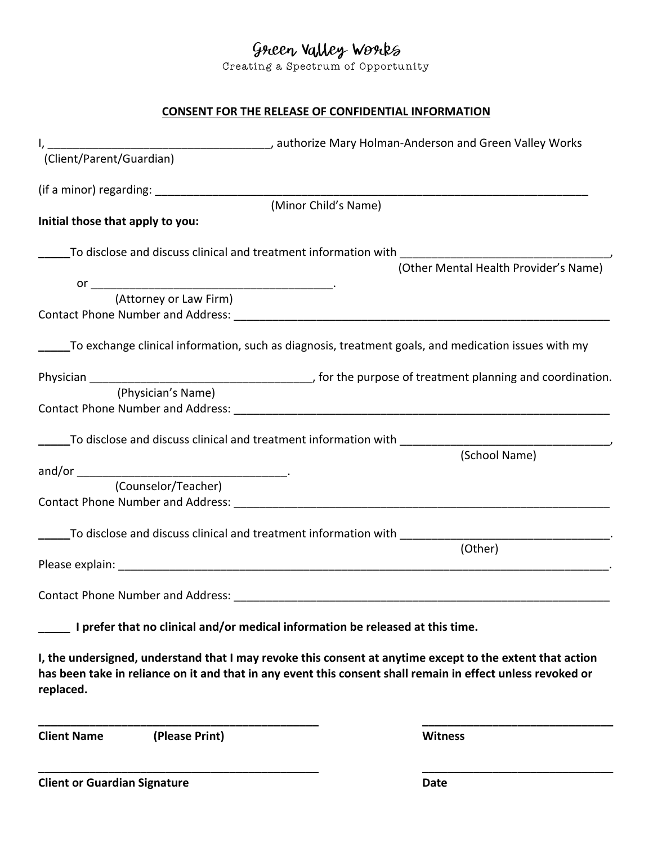Creating a Spectrum of Opportunity

## **CONSENT FOR THE RELEASE OF CONFIDENTIAL INFORMATION**

|                                      |                                                                                | I, 1. Client/Parent/Guardian) (Client/Parent/Guardian)                                                         |
|--------------------------------------|--------------------------------------------------------------------------------|----------------------------------------------------------------------------------------------------------------|
|                                      |                                                                                |                                                                                                                |
|                                      | (Minor Child's Name)                                                           |                                                                                                                |
| Initial those that apply to you:     |                                                                                |                                                                                                                |
|                                      |                                                                                |                                                                                                                |
|                                      |                                                                                |                                                                                                                |
|                                      |                                                                                |                                                                                                                |
|                                      |                                                                                |                                                                                                                |
|                                      |                                                                                |                                                                                                                |
|                                      |                                                                                | To exchange clinical information, such as diagnosis, treatment goals, and medication issues with my __________ |
|                                      |                                                                                |                                                                                                                |
| (Physician's Name)                   |                                                                                |                                                                                                                |
|                                      |                                                                                |                                                                                                                |
|                                      |                                                                                |                                                                                                                |
|                                      |                                                                                | To disclose and discuss clinical and treatment information with Theorem 2011<br>(School Name)                  |
|                                      |                                                                                |                                                                                                                |
| (Counselor/Teacher)                  |                                                                                |                                                                                                                |
|                                      |                                                                                |                                                                                                                |
|                                      | To disclose and discuss clinical and treatment information with _________      |                                                                                                                |
|                                      |                                                                                | (Other)                                                                                                        |
|                                      |                                                                                |                                                                                                                |
|                                      |                                                                                |                                                                                                                |
|                                      |                                                                                |                                                                                                                |
|                                      | I prefer that no clinical and/or medical information be released at this time. |                                                                                                                |
|                                      |                                                                                | I, the undersigned, understand that I may revoke this consent at anytime except to the extent that action      |
|                                      |                                                                                | has been take in reliance on it and that in any event this consent shall remain in effect unless revoked or    |
| replaced.                            |                                                                                |                                                                                                                |
|                                      |                                                                                |                                                                                                                |
| <b>Client Name</b><br>(Please Print) |                                                                                | <b>Witness</b>                                                                                                 |
|                                      |                                                                                |                                                                                                                |
| <b>Client or Guardian Signature</b>  |                                                                                | <b>Date</b>                                                                                                    |